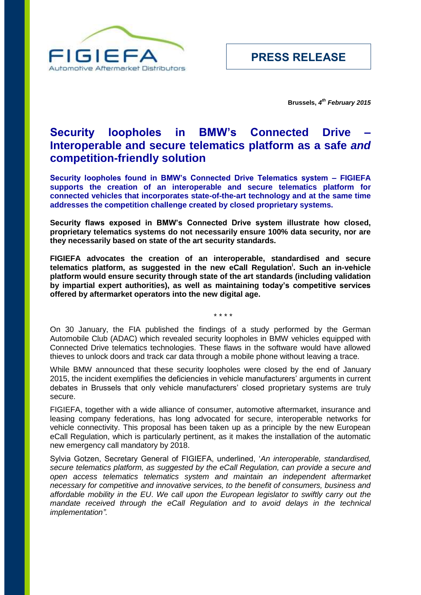

**Brussels,** *4 th February 2015*

# **Security loopholes in BMW's Connected Drive – Interoperable and secure telematics platform as a safe** *and* **competition-friendly solution**

**Security loopholes found in BMW's Connected Drive Telematics system – FIGIEFA supports the creation of an interoperable and secure telematics platform for connected vehicles that incorporates state-of-the-art technology and at the same time addresses the competition challenge created by closed proprietary systems.**

**Security flaws exposed in BMW's Connected Drive system illustrate how closed, proprietary telematics systems do not necessarily ensure 100% data security, nor are they necessarily based on state of the art security standards.**

**FIGIEFA advocates the creation of an interoperable, standardised and secure telematics platform, as suggested in the new eCall Regulation<sup>i</sup> . Such an in-vehicle platform would ensure security through state of the art standards (including validation by impartial expert authorities), as well as maintaining today's competitive services offered by aftermarket operators into the new digital age.**

\* \* \* \*

On 30 January, the FIA published the findings of a study performed by the German Automobile Club (ADAC) which revealed security loopholes in BMW vehicles equipped with Connected Drive telematics technologies. These flaws in the software would have allowed thieves to unlock doors and track car data through a mobile phone without leaving a trace.

While BMW announced that these security loopholes were closed by the end of January 2015, the incident exemplifies the deficiencies in vehicle manufacturers' arguments in current debates in Brussels that only vehicle manufacturers' closed proprietary systems are truly secure.

FIGIEFA, together with a wide alliance of consumer, automotive aftermarket, insurance and leasing company federations, has long advocated for secure, interoperable networks for vehicle connectivity. This proposal has been taken up as a principle by the new European eCall Regulation, which is particularly pertinent, as it makes the installation of the automatic new emergency call mandatory by 2018.

Sylvia Gotzen, Secretary General of FIGIEFA, underlined, '*An interoperable, standardised, secure telematics platform, as suggested by the eCall Regulation, can provide a secure and open access telematics telematics system and maintain an independent aftermarket necessary for competitive and innovative services, to the benefit of consumers, business and affordable mobility in the EU*. *We call upon the European legislator to swiftly carry out the*  mandate received through the eCall Regulation and to avoid delays in the technical *implementation".*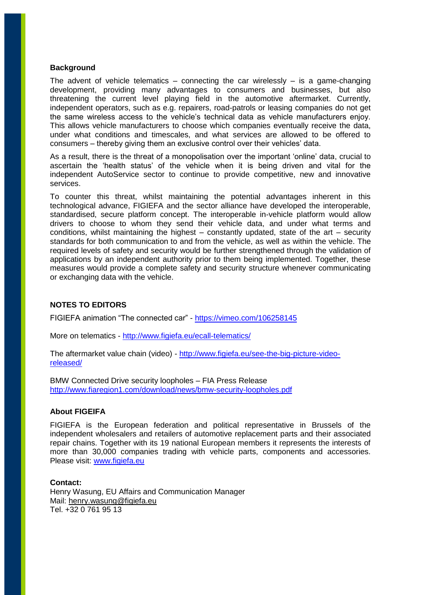### **Background**

The advent of vehicle telematics – connecting the car wirelessly – is a game-changing development, providing many advantages to consumers and businesses, but also threatening the current level playing field in the automotive aftermarket. Currently, independent operators, such as e.g. repairers, road-patrols or leasing companies do not get the same wireless access to the vehicle's technical data as vehicle manufacturers enjoy. This allows vehicle manufacturers to choose which companies eventually receive the data, under what conditions and timescales, and what services are allowed to be offered to consumers – thereby giving them an exclusive control over their vehicles' data.

As a result, there is the threat of a monopolisation over the important 'online' data, crucial to ascertain the 'health status' of the vehicle when it is being driven and vital for the independent AutoService sector to continue to provide competitive, new and innovative services.

To counter this threat, whilst maintaining the potential advantages inherent in this technological advance, FIGIEFA and the sector alliance have developed the interoperable, standardised, secure platform concept. The interoperable in-vehicle platform would allow drivers to choose to whom they send their vehicle data, and under what terms and conditions, whilst maintaining the highest – constantly updated, state of the art – security standards for both communication to and from the vehicle, as well as within the vehicle. The required levels of safety and security would be further strengthened through the validation of applications by an independent authority prior to them being implemented. Together, these measures would provide a complete safety and security structure whenever communicating or exchanging data with the vehicle.

### **NOTES TO EDITORS**

FIGIEFA animation "The connected car" - <https://vimeo.com/106258145>

More on telematics - <http://www.figiefa.eu/ecall-telematics/>

The aftermarket value chain (video) - [http://www.figiefa.eu/see-the-big-picture-video](http://www.figiefa.eu/see-the-big-picture-video-released/)[released/](http://www.figiefa.eu/see-the-big-picture-video-released/)

[BMW Connected Drive security loopholes](http://www.fiaregion1.com/scripts/nl.php?Mode=go&url=%2Fdownload%2Fnews%2Fbmw-security-loopholes.pdf&u=111860000019791&email=kai.luecke@de.bosch.com&n=111860106175762&test=0) – FIA Press Release <http://www.fiaregion1.com/download/news/bmw-security-loopholes.pdf>

## **About FIGEIFA**

FIGIEFA is the European federation and political representative in Brussels of the independent wholesalers and retailers of automotive replacement parts and their associated repair chains. Together with its 19 national European members it represents the interests of more than 30,000 companies trading with vehicle parts, components and accessories. Please visit: [www.figiefa.eu](http://www.figiefa.eu/)

#### **Contact:**

Henry Wasung, EU Affairs and Communication Manager Mail: [henry.wasung@figiefa.eu](mailto:henry.wasung@figiefa.eu) Tel. +32 0 761 95 13